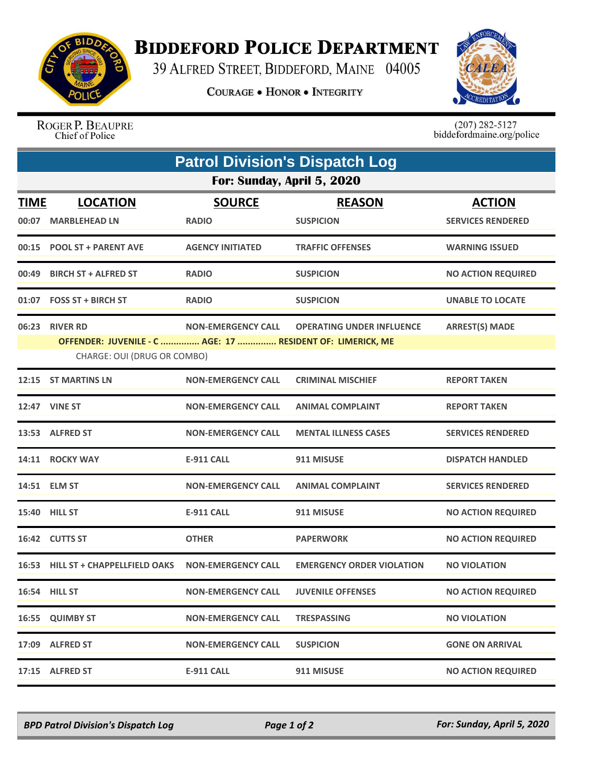

## **BIDDEFORD POLICE DEPARTMENT**

39 ALFRED STREET, BIDDEFORD, MAINE 04005

**COURAGE . HONOR . INTEGRITY** 



ROGER P. BEAUPRE Chief of Police

 $(207)$  282-5127<br>biddefordmaine.org/police

| <b>Patrol Division's Dispatch Log</b> |                                                                                                                                                                                                        |                               |                                   |                                           |  |  |  |
|---------------------------------------|--------------------------------------------------------------------------------------------------------------------------------------------------------------------------------------------------------|-------------------------------|-----------------------------------|-------------------------------------------|--|--|--|
| For: Sunday, April 5, 2020            |                                                                                                                                                                                                        |                               |                                   |                                           |  |  |  |
| <b>TIME</b><br>00:07                  | <b>LOCATION</b><br><b>MARBLEHEAD LN</b>                                                                                                                                                                | <b>SOURCE</b><br><b>RADIO</b> | <b>REASON</b><br><b>SUSPICION</b> | <b>ACTION</b><br><b>SERVICES RENDERED</b> |  |  |  |
|                                       | 00:15 POOL ST + PARENT AVE                                                                                                                                                                             | <b>AGENCY INITIATED</b>       | <b>TRAFFIC OFFENSES</b>           | <b>WARNING ISSUED</b>                     |  |  |  |
| 00:49                                 | <b>BIRCH ST + ALFRED ST</b>                                                                                                                                                                            | <b>RADIO</b>                  | <b>SUSPICION</b>                  | <b>NO ACTION REQUIRED</b>                 |  |  |  |
|                                       | 01:07 FOSS ST + BIRCH ST                                                                                                                                                                               | <b>RADIO</b>                  | <b>SUSPICION</b>                  | <b>UNABLE TO LOCATE</b>                   |  |  |  |
| 06:23                                 | <b>ARREST(S) MADE</b><br><b>RIVER RD</b><br><b>NON-EMERGENCY CALL</b><br><b>OPERATING UNDER INFLUENCE</b><br>OFFENDER: JUVENILE - C  AGE: 17  RESIDENT OF: LIMERICK, ME<br>CHARGE: OUI (DRUG OR COMBO) |                               |                                   |                                           |  |  |  |
|                                       | 12:15 ST MARTINS LN                                                                                                                                                                                    | <b>NON-EMERGENCY CALL</b>     | <b>CRIMINAL MISCHIEF</b>          | <b>REPORT TAKEN</b>                       |  |  |  |
|                                       | 12:47 VINE ST                                                                                                                                                                                          | <b>NON-EMERGENCY CALL</b>     | <b>ANIMAL COMPLAINT</b>           | <b>REPORT TAKEN</b>                       |  |  |  |
|                                       | 13:53 ALFRED ST                                                                                                                                                                                        | <b>NON-EMERGENCY CALL</b>     | <b>MENTAL ILLNESS CASES</b>       | <b>SERVICES RENDERED</b>                  |  |  |  |
|                                       | 14:11 ROCKY WAY                                                                                                                                                                                        | <b>E-911 CALL</b>             | 911 MISUSE                        | <b>DISPATCH HANDLED</b>                   |  |  |  |
|                                       | 14:51 ELM ST                                                                                                                                                                                           | <b>NON-EMERGENCY CALL</b>     | <b>ANIMAL COMPLAINT</b>           | <b>SERVICES RENDERED</b>                  |  |  |  |
|                                       | <b>15:40 HILL ST</b>                                                                                                                                                                                   | <b>E-911 CALL</b>             | 911 MISUSE                        | <b>NO ACTION REQUIRED</b>                 |  |  |  |
|                                       | 16:42 CUTTS ST                                                                                                                                                                                         | <b>OTHER</b>                  | <b>PAPERWORK</b>                  | <b>NO ACTION REQUIRED</b>                 |  |  |  |
|                                       | 16:53 HILL ST + CHAPPELLFIELD OAKS                                                                                                                                                                     | <b>NON-EMERGENCY CALL</b>     | <b>EMERGENCY ORDER VIOLATION</b>  | <b>NO VIOLATION</b>                       |  |  |  |
|                                       | <b>16:54 HILL ST</b>                                                                                                                                                                                   | <b>NON-EMERGENCY CALL</b>     | <b>JUVENILE OFFENSES</b>          | <b>NO ACTION REQUIRED</b>                 |  |  |  |
|                                       | 16:55 QUIMBY ST                                                                                                                                                                                        | <b>NON-EMERGENCY CALL</b>     | <b>TRESPASSING</b>                | <b>NO VIOLATION</b>                       |  |  |  |
|                                       | 17:09 ALFRED ST                                                                                                                                                                                        | <b>NON-EMERGENCY CALL</b>     | <b>SUSPICION</b>                  | <b>GONE ON ARRIVAL</b>                    |  |  |  |
|                                       | 17:15 ALFRED ST                                                                                                                                                                                        | <b>E-911 CALL</b>             | 911 MISUSE                        | <b>NO ACTION REQUIRED</b>                 |  |  |  |